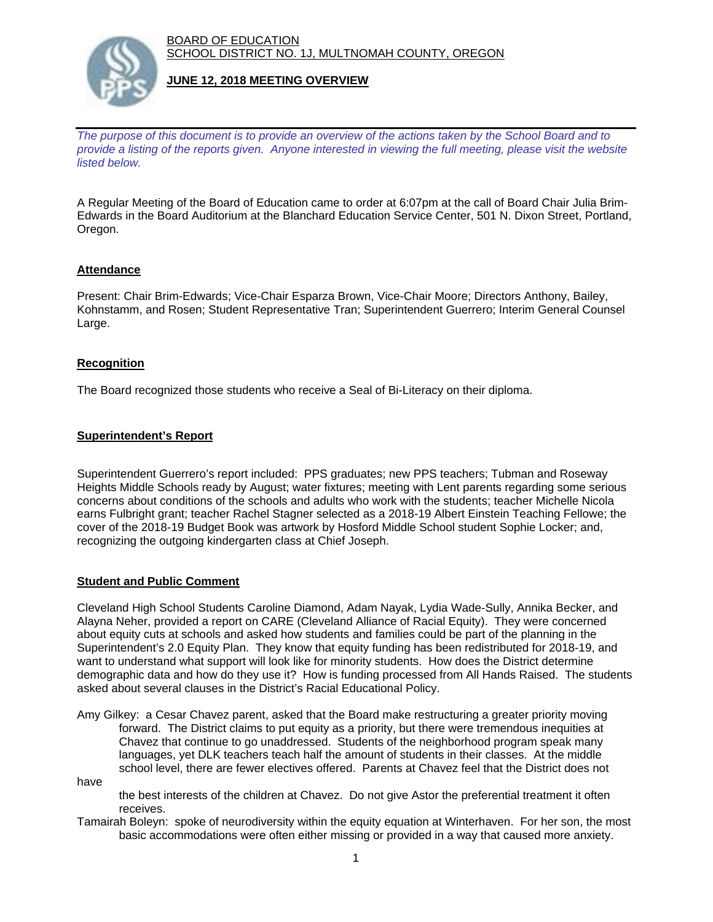BOARD OF EDUCATION SCHOOL DISTRICT NO. 1J, MULTNOMAH COUNTY, OREGON



#### **JUNE 12, 2018 MEETING OVERVIEW**

*The purpose of this document is to provide an overview of the actions taken by the School Board and to provide a listing of the reports given. Anyone interested in viewing the full meeting, please visit the website listed below.*

A Regular Meeting of the Board of Education came to order at 6:07pm at the call of Board Chair Julia Brim-Edwards in the Board Auditorium at the Blanchard Education Service Center, 501 N. Dixon Street, Portland, Oregon.

## **Attendance**

Present: Chair Brim-Edwards; Vice-Chair Esparza Brown, Vice-Chair Moore; Directors Anthony, Bailey, Kohnstamm, and Rosen; Student Representative Tran; Superintendent Guerrero; Interim General Counsel Large.

#### **Recognition**

The Board recognized those students who receive a Seal of Bi-Literacy on their diploma.

## **Superintendent's Report**

Superintendent Guerrero's report included: PPS graduates; new PPS teachers; Tubman and Roseway Heights Middle Schools ready by August; water fixtures; meeting with Lent parents regarding some serious concerns about conditions of the schools and adults who work with the students; teacher Michelle Nicola earns Fulbright grant; teacher Rachel Stagner selected as a 2018-19 Albert Einstein Teaching Fellowe; the cover of the 2018-19 Budget Book was artwork by Hosford Middle School student Sophie Locker; and, recognizing the outgoing kindergarten class at Chief Joseph.

## **Student and Public Comment**

Cleveland High School Students Caroline Diamond, Adam Nayak, Lydia Wade-Sully, Annika Becker, and Alayna Neher, provided a report on CARE (Cleveland Alliance of Racial Equity). They were concerned about equity cuts at schools and asked how students and families could be part of the planning in the Superintendent's 2.0 Equity Plan. They know that equity funding has been redistributed for 2018-19, and want to understand what support will look like for minority students. How does the District determine demographic data and how do they use it? How is funding processed from All Hands Raised. The students asked about several clauses in the District's Racial Educational Policy.

Amy Gilkey: a Cesar Chavez parent, asked that the Board make restructuring a greater priority moving forward. The District claims to put equity as a priority, but there were tremendous inequities at Chavez that continue to go unaddressed. Students of the neighborhood program speak many languages, yet DLK teachers teach half the amount of students in their classes. At the middle school level, there are fewer electives offered. Parents at Chavez feel that the District does not

have

 the best interests of the children at Chavez. Do not give Astor the preferential treatment it often receives.

Tamairah Boleyn: spoke of neurodiversity within the equity equation at Winterhaven. For her son, the most basic accommodations were often either missing or provided in a way that caused more anxiety.